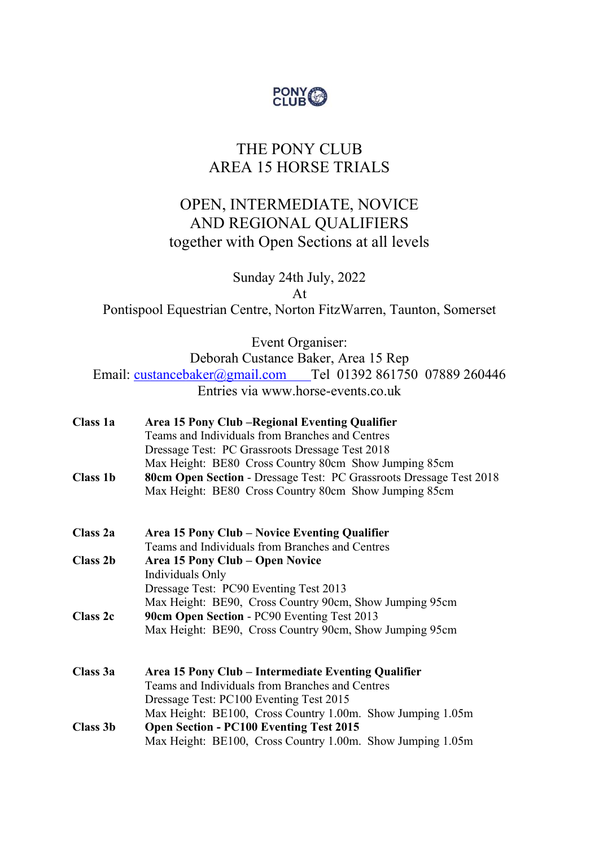

# THE PONY CLUB AREA 15 HORSE TRIALS

## OPEN, INTERMEDIATE, NOVICE AND REGIONAL QUALIFIERS together with Open Sections at all levels

Sunday 24th July, 2022 At Pontispool Equestrian Centre, Norton FitzWarren, Taunton, Somerset

Event Organiser:

Deborah Custance Baker, Area 15 Rep

Email: custancebaker@gmail.com Tel 01392 861750 07889 260446 Entries via www.horse-events.co.uk

| Class 1a        | Area 15 Pony Club – Regional Eventing Qualifier                     |
|-----------------|---------------------------------------------------------------------|
|                 | Teams and Individuals from Branches and Centres                     |
|                 | Dressage Test: PC Grassroots Dressage Test 2018                     |
|                 | Max Height: BE80 Cross Country 80cm Show Jumping 85cm               |
| <b>Class 1b</b> | 80cm Open Section - Dressage Test: PC Grassroots Dressage Test 2018 |
|                 | Max Height: BE80 Cross Country 80cm Show Jumping 85cm               |
| Class 2a        | Area 15 Pony Club – Novice Eventing Qualifier                       |
|                 | Teams and Individuals from Branches and Centres                     |
| <b>Class 2b</b> | Area 15 Pony Club – Open Novice                                     |
|                 | Individuals Only                                                    |
|                 | Dressage Test: PC90 Eventing Test 2013                              |
|                 | Max Height: BE90, Cross Country 90cm, Show Jumping 95cm             |
| <b>Class 2c</b> | 90cm Open Section - PC90 Eventing Test 2013                         |
|                 | Max Height: BE90, Cross Country 90cm, Show Jumping 95cm             |
| Class 3a        | Area 15 Pony Club – Intermediate Eventing Qualifier                 |
|                 | Teams and Individuals from Branches and Centres                     |
|                 | Dressage Test: PC100 Eventing Test 2015                             |
|                 | Max Height: BE100, Cross Country 1.00m. Show Jumping 1.05m          |
| Class 3b        | <b>Open Section - PC100 Eventing Test 2015</b>                      |
|                 | Max Height: BE100, Cross Country 1.00m. Show Jumping 1.05m          |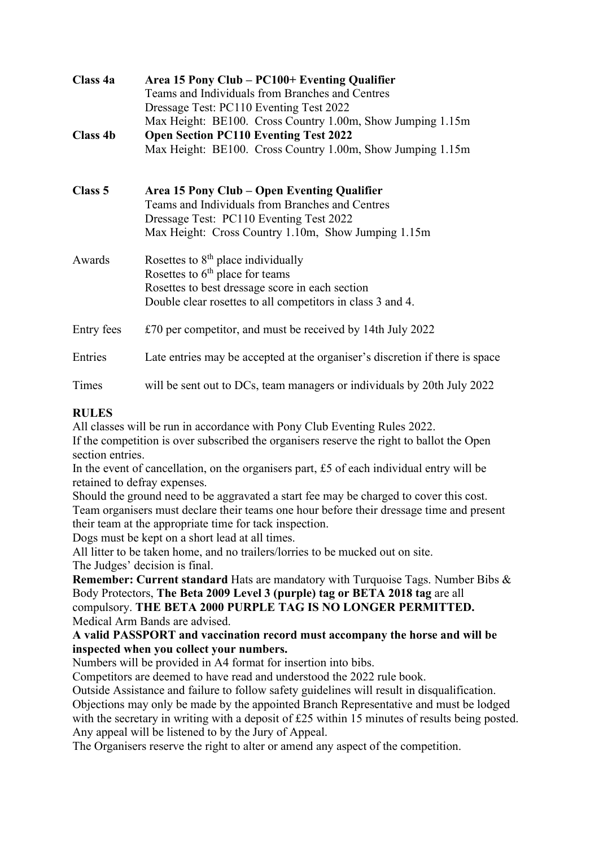| Class 4a   | Area 15 Pony Club – PC100+ Eventing Qualifier                                |
|------------|------------------------------------------------------------------------------|
|            | Teams and Individuals from Branches and Centres                              |
|            | Dressage Test: PC110 Eventing Test 2022                                      |
|            | Max Height: BE100. Cross Country 1.00m, Show Jumping 1.15m                   |
| Class 4b   | <b>Open Section PC110 Eventing Test 2022</b>                                 |
|            | Max Height: BE100. Cross Country 1.00m, Show Jumping 1.15m                   |
| Class 5    | Area 15 Pony Club – Open Eventing Qualifier                                  |
|            | Teams and Individuals from Branches and Centres                              |
|            | Dressage Test: PC110 Eventing Test 2022                                      |
|            | Max Height: Cross Country 1.10m, Show Jumping 1.15m                          |
| Awards     | Rosettes to $8th$ place individually                                         |
|            | Rosettes to $6th$ place for teams                                            |
|            | Rosettes to best dressage score in each section                              |
|            | Double clear rosettes to all competitors in class 3 and 4.                   |
| Entry fees | £70 per competitor, and must be received by 14th July 2022                   |
| Entries    | Late entries may be accepted at the organiser's discretion if there is space |
| Times      | will be sent out to DCs, team managers or individuals by 20th July 2022      |

### RULES

All classes will be run in accordance with Pony Club Eventing Rules 2022.

If the competition is over subscribed the organisers reserve the right to ballot the Open section entries.

In the event of cancellation, on the organisers part, £5 of each individual entry will be retained to defray expenses.

Should the ground need to be aggravated a start fee may be charged to cover this cost. Team organisers must declare their teams one hour before their dressage time and present their team at the appropriate time for tack inspection.

Dogs must be kept on a short lead at all times.

All litter to be taken home, and no trailers/lorries to be mucked out on site. The Judges' decision is final.

Remember: Current standard Hats are mandatory with Turquoise Tags. Number Bibs & Body Protectors, The Beta 2009 Level 3 (purple) tag or BETA 2018 tag are all compulsory. THE BETA 2000 PURPLE TAG IS NO LONGER PERMITTED. Medical Arm Bands are advised.

### A valid PASSPORT and vaccination record must accompany the horse and will be inspected when you collect your numbers.

Numbers will be provided in A4 format for insertion into bibs.

Competitors are deemed to have read and understood the 2022 rule book.

Outside Assistance and failure to follow safety guidelines will result in disqualification. Objections may only be made by the appointed Branch Representative and must be lodged with the secretary in writing with a deposit of £25 within 15 minutes of results being posted. Any appeal will be listened to by the Jury of Appeal.

The Organisers reserve the right to alter or amend any aspect of the competition.